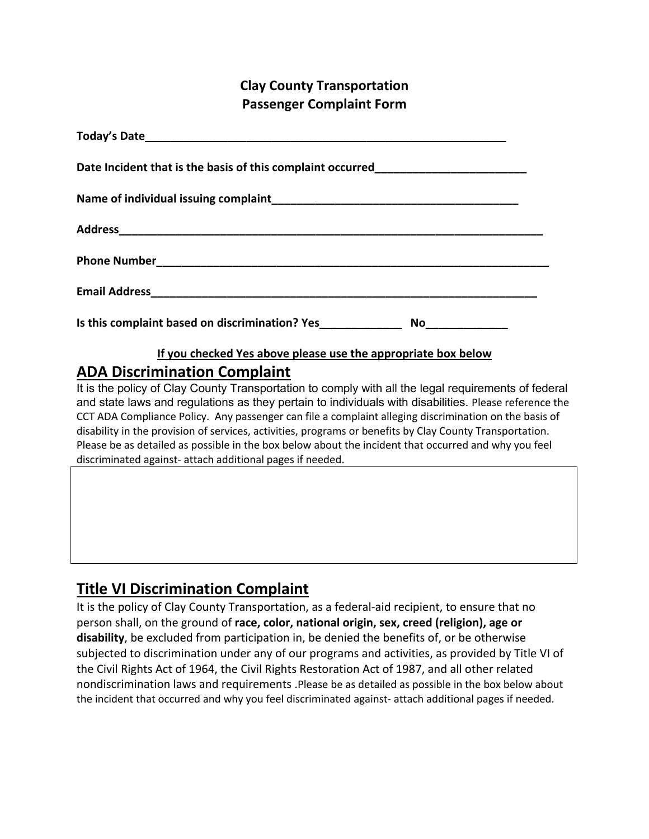### **Clay County Transportation Passenger Complaint Form**

| Date Incident that is the basis of this complaint occurred______________________  |
|-----------------------------------------------------------------------------------|
|                                                                                   |
|                                                                                   |
|                                                                                   |
|                                                                                   |
| Is this complaint based on discrimination? Yes___________________________________ |
| If you checked Yes above please use the appropriate box below                     |

# **ADA Discrimination Complaint**

It is the policy of Clay County Transportation to comply with all the legal requirements of federal and state laws and regulations as they pertain to individuals with disabilities. Please reference the CCT ADA Compliance Policy. Any passenger can file a complaint alleging discrimination on the basis of disability in the provision of services, activities, programs or benefits by Clay County Transportation. Please be as detailed as possible in the box below about the incident that occurred and why you feel discriminated against- attach additional pages if needed.

### **Title VI Discrimination Complaint**

It is the policy of Clay County Transportation, as a federal-aid recipient, to ensure that no person shall, on the ground of **race, color, national origin, sex, creed (religion), age or disability**, be excluded from participation in, be denied the benefits of, or be otherwise subjected to discrimination under any of our programs and activities, as provided by Title VI of the Civil Rights Act of 1964, the Civil Rights Restoration Act of 1987, and all other related nondiscrimination laws and requirements .Please be as detailed as possible in the box below about the incident that occurred and why you feel discriminated against- attach additional pages if needed.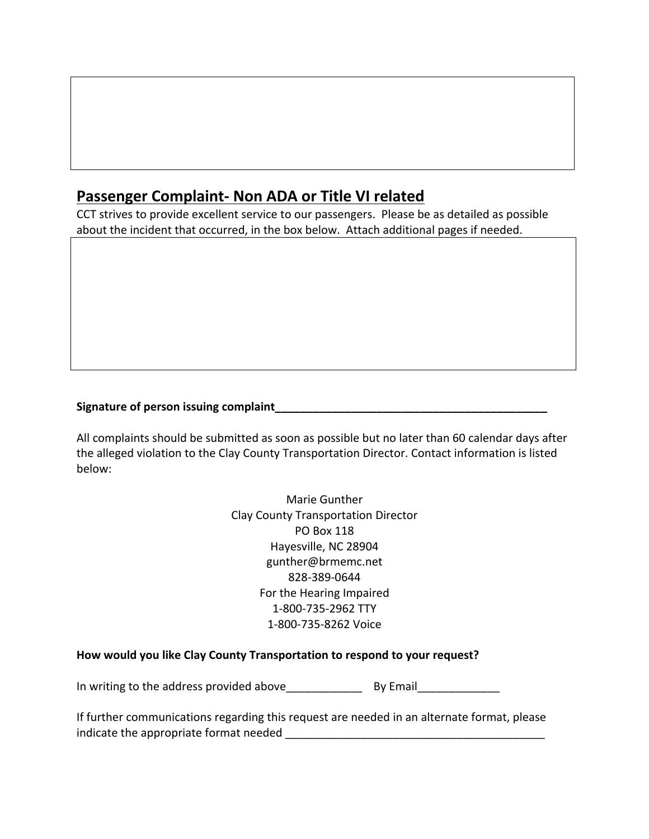## **Passenger Complaint- Non ADA or Title VI related**

CCT strives to provide excellent service to our passengers. Please be as detailed as possible about the incident that occurred, in the box below. Attach additional pages if needed.

#### **Signature of person issuing complaint\_\_\_\_\_\_\_\_\_\_\_\_\_\_\_\_\_\_\_\_\_\_\_\_\_\_\_\_\_\_\_\_\_\_\_\_\_\_\_\_\_\_\_**

All complaints should be submitted as soon as possible but no later than 60 calendar days after the alleged violation to the Clay County Transportation Director. Contact information is listed below:

> Marie Gunther Clay County Transportation Director PO Box 118 Hayesville, NC 28904 gunther@brmemc.net 828-389-0644 For the Hearing Impaired 1-800-735-2962 TTY 1-800-735-8262 Voice

#### **How would you like Clay County Transportation to respond to your request?**

In writing to the address provided above\_\_\_\_\_\_\_\_\_\_\_\_ By Email\_\_\_\_\_\_\_\_\_\_\_\_\_

If further communications regarding this request are needed in an alternate format, please indicate the appropriate format needed **EXACTS**